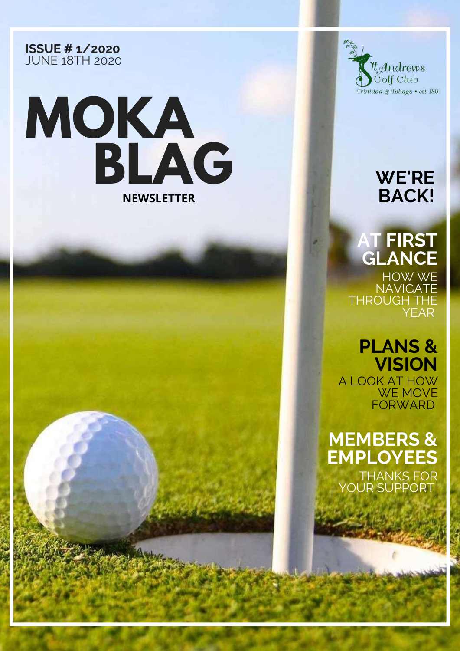#### **ISSUE # 1/2020** JUNE 18TH 2020





#### **WE'RE BACK!**

### **AT FIRST GLANCE**

HOW WE **NAVIGATE** THROUGH THE YEAR

#### **PLANS & VISION**

A LOOK AT HOW WE MOVE **FORWARD** 

#### **MEMBERS & EMPLOYEES**

THANKS FOR YOUR SUPPORT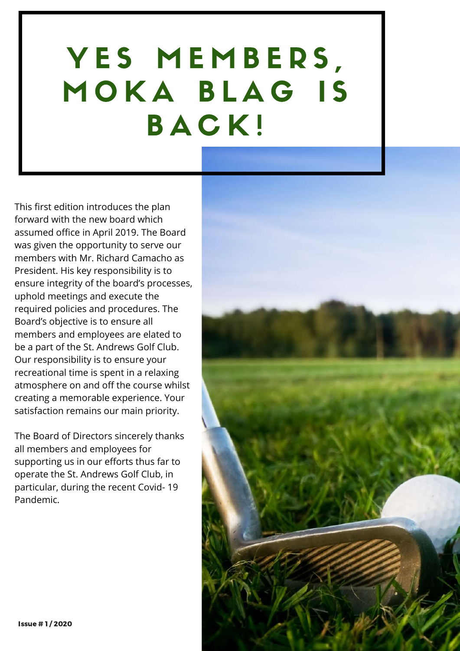# YES MEMBERS, MOKA BLAG IS B A C K !

This first edition introduces the plan forward with the new board which assumed office in April 2019. The Board was given the opportunity to serve our members with Mr. Richard Camacho as President. His key responsibility is to ensure integrity of the board's processes, uphold meetings and execute the required policies and procedures. The Board's objective is to ensure all members and employees are elated to be a part of the St. Andrews Golf Club. Our responsibility is to ensure your recreational time is spent in a relaxing atmosphere on and off the course whilst creating a memorable experience. Your satisfaction remains our main priority.

The Board of Directors sincerely thanks all members and employees for supporting us in our efforts thus far to operate the St. Andrews Golf Club, in particular, during the recent Covid- 19 Pandemic.

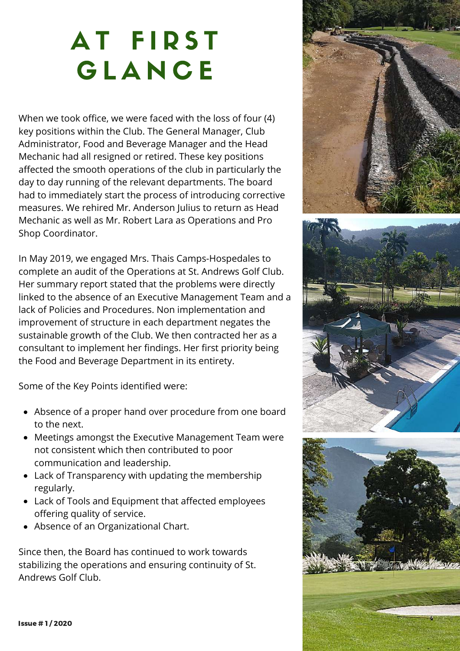## AT FIRST **GLANCE**

When we took office, we were faced with the loss of four (4) key positions within the Club. The General Manager, Club Administrator, Food and Beverage Manager and the Head Mechanic had all resigned or retired. These key positions affected the smooth operations of the club in particularly the day to day running of the relevant departments. The board had to immediately start the process of introducing corrective measures. We rehired Mr. Anderson Julius to return as Head Mechanic as well as Mr. Robert Lara as Operations and Pro Shop Coordinator.

In May 2019, we engaged Mrs. Thais Camps-Hospedales to complete an audit of the Operations at St. Andrews Golf Club. Her summary report stated that the problems were directly linked to the absence of an Executive Management Team and a lack of Policies and Procedures. Non implementation and improvement of structure in each department negates the sustainable growth of the Club. We then contracted her as a consultant to implement her findings. Her first priority being the Food and Beverage Department in its entirety.

Some of the Key Points identified were:

- Absence of a proper hand over procedure from one board to the next.
- Meetings amongst the Executive Management Team were not consistent which then contributed to poor communication and leadership.
- Lack of Transparency with updating the membership regularly.
- Lack of Tools and Equipment that affected employees offering quality of service.
- Absence of an Organizational Chart.

Since then, the Board has continued to work towards stabilizing the operations and ensuring continuity of St. Andrews Golf Club.

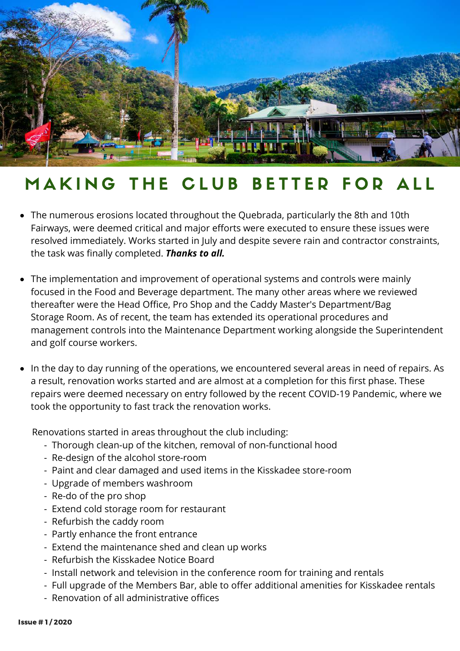

### MAKING THE CLUB BETTER FOR ALL

- The numerous erosions located throughout the Quebrada, particularly the 8th and 10th Fairways, were deemed critical and major efforts were executed to ensure these issues were resolved immediately. Works started in July and despite severe rain and contractor constraints, the task was finally completed. *Thanks to all.*
- The implementation and improvement of operational systems and controls were mainly focused in the Food and Beverage department. The many other areas where we reviewed thereafter were the Head Office, Pro Shop and the Caddy Master's Department/Bag Storage Room. As of recent, the team has extended its operational procedures and management controls into the Maintenance Department working alongside the Superintendent and golf course workers.
- In the day to day running of the operations, we encountered several areas in need of repairs. As a result, renovation works started and are almost at a completion for this first phase. These repairs were deemed necessary on entry followed by the recent COVID-19 Pandemic, where we took the opportunity to fast track the renovation works.

Renovations started in areas throughout the club including:

- Thorough clean-up of the kitchen, removal of non-functional hood
- Re-design of the alcohol store-room
- Paint and clear damaged and used items in the Kisskadee store-room
- Upgrade of members washroom
- Re-do of the pro shop
- Extend cold storage room for restaurant
- Refurbish the caddy room
- Partly enhance the front entrance
- Extend the maintenance shed and clean up works
- Refurbish the Kisskadee Notice Board
- Install network and television in the conference room for training and rentals
- Full upgrade of the Members Bar, able to offer additional amenities for Kisskadee rentals
- Renovation of all administrative offices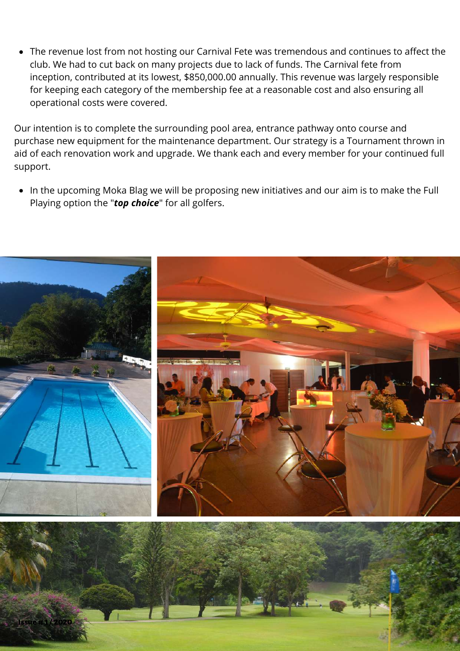The revenue lost from not hosting our Carnival Fete was tremendous and continues to affect the club. We had to cut back on many projects due to lack of funds. The Carnival fete from inception, contributed at its lowest, \$850,000.00 annually. This revenue was largely responsible for keeping each category of the membership fee at a reasonable cost and also ensuring all operational costs were covered.

Our intention is to complete the surrounding pool area, entrance pathway onto course and purchase new equipment for the maintenance department. Our strategy is a Tournament thrown in aid of each renovation work and upgrade. We thank each and every member for your continued full support.

• In the upcoming Moka Blag we will be proposing new initiatives and our aim is to make the Full Playing option the "*top choice*" for all golfers.



Issue # 1 / 2020